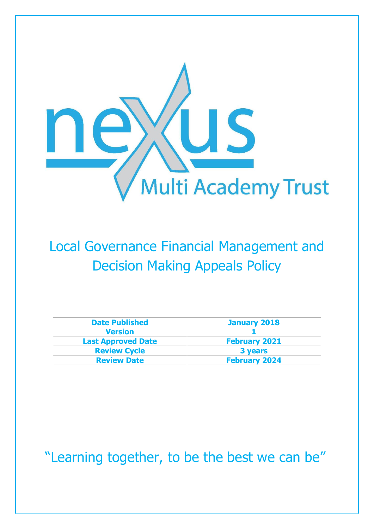

## Local Governance Financial Management and Decision Making Appeals Policy

| <b>Date Published</b>     | <b>January 2018</b>  |
|---------------------------|----------------------|
| <b>Version</b>            |                      |
| <b>Last Approved Date</b> | <b>February 2021</b> |
| <b>Review Cycle</b>       | 3 years              |
| <b>Review Date</b>        | <b>February 2024</b> |

"Learning together, to be the best we can be"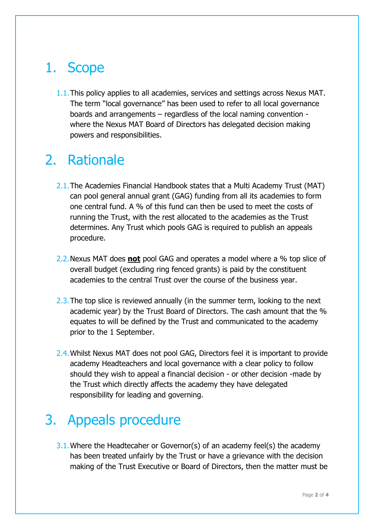## 1. Scope

1.1.This policy applies to all academies, services and settings across Nexus MAT. The term "local governance" has been used to refer to all local governance boards and arrangements – regardless of the local naming convention where the Nexus MAT Board of Directors has delegated decision making powers and responsibilities.

## 2. Rationale

- 2.1.The Academies Financial Handbook states that a Multi Academy Trust (MAT) can pool general annual grant (GAG) funding from all its academies to form one central fund. A % of this fund can then be used to meet the costs of running the Trust, with the rest allocated to the academies as the Trust determines. Any Trust which pools GAG is required to publish an appeals procedure.
- 2.2.Nexus MAT does **not** pool GAG and operates a model where a % top slice of overall budget (excluding ring fenced grants) is paid by the constituent academies to the central Trust over the course of the business year.
- 2.3. The top slice is reviewed annually (in the summer term, looking to the next academic year) by the Trust Board of Directors. The cash amount that the % equates to will be defined by the Trust and communicated to the academy prior to the 1 September.
- 2.4.Whilst Nexus MAT does not pool GAG, Directors feel it is important to provide academy Headteachers and local governance with a clear policy to follow should they wish to appeal a financial decision - or other decision -made by the Trust which directly affects the academy they have delegated responsibility for leading and governing.

## 3. Appeals procedure

3.1.Where the Headtecaher or Governor(s) of an academy feel(s) the academy has been treated unfairly by the Trust or have a grievance with the decision making of the Trust Executive or Board of Directors, then the matter must be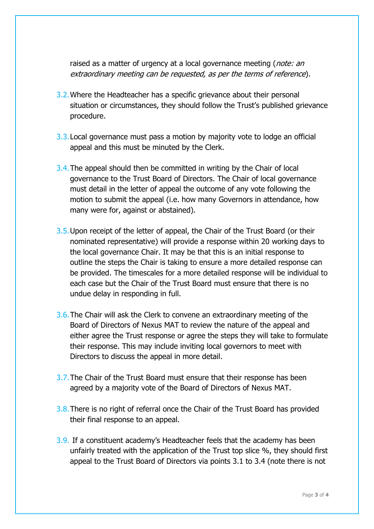raised as a matter of urgency at a local governance meeting (*note: an* extraordinary meeting can be requested, as per the terms of reference).

- 3.2.Where the Headteacher has a specific grievance about their personal situation or circumstances, they should follow the Trust's published grievance procedure.
- 3.3.Local governance must pass a motion by majority vote to lodge an official appeal and this must be minuted by the Clerk.
- 3.4.The appeal should then be committed in writing by the Chair of local governance to the Trust Board of Directors. The Chair of local governance must detail in the letter of appeal the outcome of any vote following the motion to submit the appeal (i.e. how many Governors in attendance, how many were for, against or abstained).
- 3.5.Upon receipt of the letter of appeal, the Chair of the Trust Board (or their nominated representative) will provide a response within 20 working days to the local governance Chair. It may be that this is an initial response to outline the steps the Chair is taking to ensure a more detailed response can be provided. The timescales for a more detailed response will be individual to each case but the Chair of the Trust Board must ensure that there is no undue delay in responding in full.
- 3.6.The Chair will ask the Clerk to convene an extraordinary meeting of the Board of Directors of Nexus MAT to review the nature of the appeal and either agree the Trust response or agree the steps they will take to formulate their response. This may include inviting local governors to meet with Directors to discuss the appeal in more detail.
- 3.7.The Chair of the Trust Board must ensure that their response has been agreed by a majority vote of the Board of Directors of Nexus MAT.
- 3.8. There is no right of referral once the Chair of the Trust Board has provided their final response to an appeal.
- 3.9. If a constituent academy's Headteacher feels that the academy has been unfairly treated with the application of the Trust top slice %, they should first appeal to the Trust Board of Directors via points 3.1 to 3.4 (note there is not